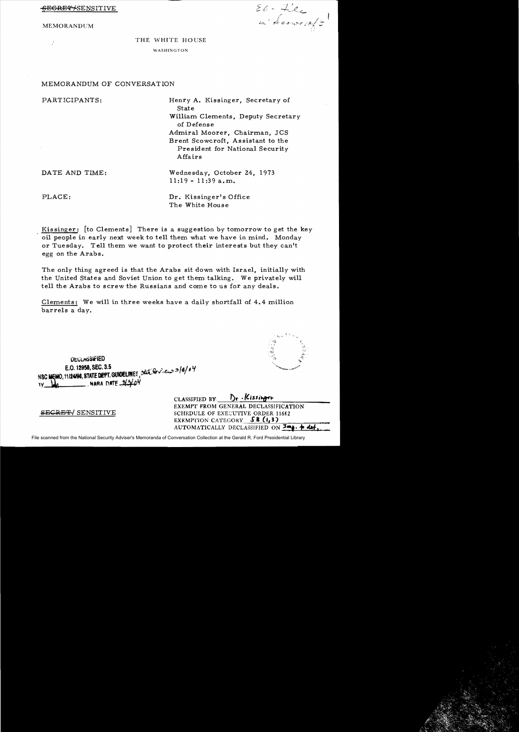<del>SECRET/</del>SENSITIVE

**MEMORANDUM** 

El-File<br>in Scoweroft

THE WHITE HOUSE WASHINGTON

## MEMORANDUM OF CONVERSATION

| PARTICIPANTS:  | Henry A. Kissinger, Secretary of<br><b>State</b><br>William Clements, Deputy Secretary<br>of Defense<br>Admiral Moorer, Chairman, JCS<br>Brent Scowcroft, Assistant to the<br>President for National Security<br>Affairs |
|----------------|--------------------------------------------------------------------------------------------------------------------------------------------------------------------------------------------------------------------------|
| DATE AND TIME: | Wednesday, October 24, 1973<br>$11:19 - 11:39$ a.m.                                                                                                                                                                      |
| PLACE:         | Dr. Kissinger's Office<br>The White House                                                                                                                                                                                |

Kissinger: [to Clements] There is a suggestion by tomorrow to get the key oil people in early next week to tell them what we have in mind. Monday or Tuesday. Tell them we want to protect their interests but they can't egg on the Arabs.

The only thing agreed is that the Arabs sit down with Israel, initially with the United States and Soviet Union to get them talking. We privately will tell the Arabs to screw the Russians and come to us for any deals.

Clements: We will in three weeks have a daily shortfall of 4.4 million barrels a day.

**DEULASSIFIED** NSC MEMO, 11/24/98, STATE DEPT. GUIDELINES, that leview 3/8/04 E.O. 12958, SEC. 3.5  $-$  NARA DATE  $-213104$ 

**SECRET/ SENSITIVE** 

 $D_r$ . Kissinger CLASSIFIED BY EXEMPT FROM GENERAL DECLASSIFICATION SCHEDULE OF EXECUTIVE ORDER 11652 **EXEMPTION CATEGORY SB (1,3)** AUTOMATICALLY DECLASSIFIED ON Imp. + det

File scanned from the National Security Adviser's Memoranda of Conversation Collection at the Gerald R. Ford Presidential Library